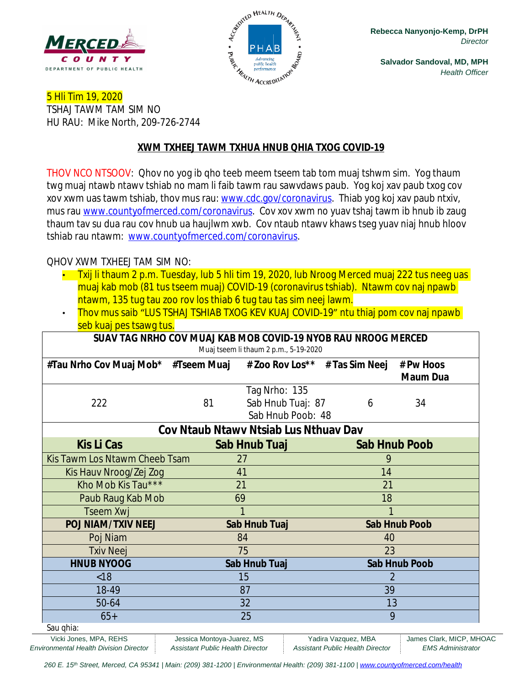



**Salvador Sandoval, MD, MPH** *Health Officer*

5 Hli Tim 19, 2020 TSHAJ TAWM TAM SIM NO HU RAU: Mike North, 209-726-2744

### **XWM TXHEEJ TAWM TXHUA HNUB QHIA TXOG COVID-19**

THOV NCO NTSOOV: Qhov no yog ib qho teeb meem tseem tab tom muaj tshwm sim. Yog thaum twg muaj ntawb ntawv tshiab no mam li faib tawm rau sawvdaws paub. Yog koj xav paub txog cov xov xwm uas tawm tshiab, thov mus rau: [www.cdc.gov/coronavirus](http://www.cdc.gov/coronavirus). Thiab yog koj xav paub ntxiv, mus rau [www.countyofmerced.com/coronavirus.](http://www.countyofmerced.com/coronavirus) Cov xov xwm no yuav tshaj tawm ib hnub ib zaug thaum tav su dua rau cov hnub ua haujlwm xwb. Cov ntaub ntawv khaws tseg yuav niaj hnub hloov tshiab rau ntawm: [www.countyofmerced.com/coronavirus.](http://www.countyofmerced.com/coronavirus)

### QHOV XWM TXHEEJ TAM SIM NO:

- Txij li thaum 2 p.m. Tuesday, lub 5 hli tim 19, 2020, lub Nroog Merced muaj 222 tus neeg uas muaj kab mob (81 tus tseem muaj) COVID-19 (coronavirus tshiab). Ntawm cov naj npawb ntawm, 135 tug tau zoo rov los thiab 6 tug tau tas sim neej lawm.
- Thov mus saib "LUS TSHAJ TSHIAB TXOG KEV KUAJ COVID-19" ntu thiaj pom cov naj npawb seb kuaj pes tsawg tus.

| SUAV TAG NRHO COV MUAJ KAB MOB COVID-19 NYOB RAU NROOG MERCED<br>Muaj tseem li thaum 2 p.m., 5-19-2020 |    |                                                         |   |                              |  |
|--------------------------------------------------------------------------------------------------------|----|---------------------------------------------------------|---|------------------------------|--|
| #Tau Nrho Cov Muaj Mob* #Tseem Muaj # Zoo Rov Los** # Tas Sim Neej                                     |    |                                                         |   | # Pw Hoos<br><b>Maum Dua</b> |  |
| 222                                                                                                    | 81 | Tag Nrho: 135<br>Sab Hnub Tuaj: 87<br>Sab Hnub Poob: 48 | 6 | 34                           |  |
| Cov Ntaub Ntawy Ntsiab Lus Nthuay Dav                                                                  |    |                                                         |   |                              |  |
| <b>Kis Li Cas</b>                                                                                      |    | Sab Hnub Tuaj                                           |   | <b>Sab Hnub Poob</b>         |  |
| Kis Tawm Los Ntawm Cheeb Tsam                                                                          |    | 27                                                      |   |                              |  |
| Kis Hauv Nroog/Zej Zog                                                                                 |    | 41                                                      |   | 14                           |  |
| Kho Mob Kis Tau***                                                                                     |    | 21                                                      |   | 21                           |  |
| Paub Raug Kab Mob                                                                                      |    | 69                                                      |   | 18                           |  |
| Tseem Xwj                                                                                              |    | 1                                                       |   |                              |  |
| <b>POJ NIAM/TXIV NEEJ</b>                                                                              |    | Sab Hnub Tuaj                                           |   | <b>Sab Hnub Poob</b>         |  |
| Poj Niam                                                                                               |    | 84                                                      |   | 40                           |  |
| <b>Txiv Neej</b>                                                                                       |    | 75                                                      |   | 23                           |  |
| <b>HNUB NYOOG</b>                                                                                      |    | Sab Hnub Tuaj                                           |   | <b>Sab Hnub Poob</b>         |  |
| < 18                                                                                                   |    | 15                                                      |   | $\mathcal{P}$                |  |
| 18-49                                                                                                  |    | 87                                                      |   | 39                           |  |
| 50-64                                                                                                  |    | 32                                                      |   | 13                           |  |
| $65+$                                                                                                  |    | 25                                                      |   | 9                            |  |
| Sau ghia:                                                                                              |    |                                                         |   |                              |  |

Vicki Jones, MPA, REHS Jessica Montoya-Juarez, MS | Yadira Vazquez, MBA | James Clark, MICP, MHOAC *Environmental Health Division Director Assistant Public Health Director Assistant Public Health Director EMS Administrator*

260 E. 15<sup>th</sup> Street, Merced, CA 95341 | Main: (209) 381-1200 | Environmental Health: (209) 381-1100 | [www.countyofmerced.com/health](http://www.countyofmerced.com/health)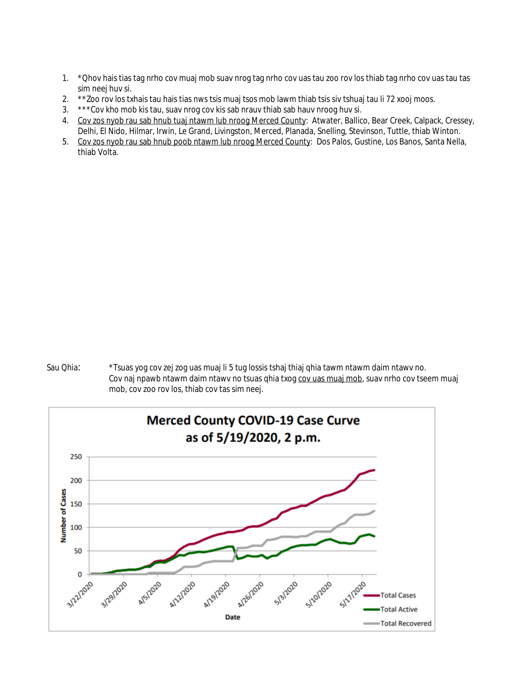- 1. \*Qhov hais tias tag nrho cov muaj mob suav nrog tag nrho cov uas tau zoo rov los thiab tag nrho cov uas tau tas sim neej huv si.
- 2. \*\*Zoo rov los txhais tau hais tias nws tsis muaj tsos mob lawm thiab tsis siv tshuaj tau li 72 xooj moos.
- 3. \*\*\*Cov kho mob kis tau, suav nrog cov kis sab nrauv thiab sab hauv nroog huv si.
- 4. Cov zos nyob rau sab hnub tuaj ntawm lub nroog Merced County: Atwater, Ballico, Bear Creek, Calpack, Cressey, Delhi, El Nido, Hilmar, Irwin, Le Grand, Livingston, Merced, Planada, Snelling, Stevinson, Tuttle, thiab Winton.
- 5. Cov zos nyob rau sab hnub poob ntawm lub nroog Merced County: Dos Palos, Gustine, Los Banos, Santa Nella, thiab Volta.



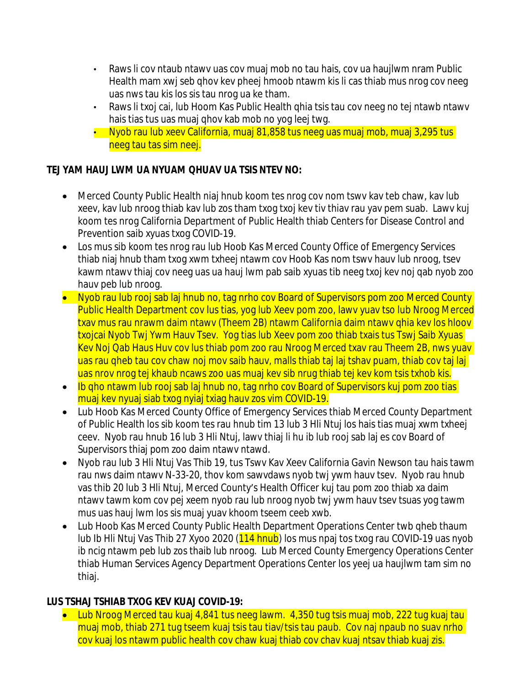- Raws li cov ntaub ntawv uas cov muaj mob no tau hais, cov ua haujlwm nram Public Health mam xwj seb qhov kev pheej hmoob ntawm kis li cas thiab mus nrog cov neeg uas nws tau kis los sis tau nrog ua ke tham.
- Raws li txoj cai, lub Hoom Kas Public Health qhia tsis tau cov neeg no tej ntawb ntawv hais tias tus uas muaj qhov kab mob no yog leej twg.
- Nyob rau lub xeev California, muaj 81,858 tus neeg uas muaj mob, muaj 3,295 tus neeg tau tas sim neej.

### **TEJ YAM HAUJ LWM UA NYUAM QHUAV UA TSIS NTEV NO:**

- Merced County Public Health niaj hnub koom tes nrog cov nom tswv kav teb chaw, kav lub xeev, kav lub nroog thiab kav lub zos tham txog txoj kev tiv thiav rau yav pem suab. Lawv kuj koom tes nrog California Department of Public Health thiab Centers for Disease Control and Prevention saib xyuas txog COVID-19.
- Los mus sib koom tes nrog rau lub Hoob Kas Merced County Office of Emergency Services thiab niaj hnub tham txog xwm txheej ntawm cov Hoob Kas nom tswv hauv lub nroog, tsev kawm ntawv thiaj cov neeg uas ua hauj lwm pab saib xyuas tib neeg txoj kev noj qab nyob zoo hauv peb lub nroog.
- Nyob rau lub rooj sab laj hnub no, tag nrho cov Board of Supervisors pom zoo Merced County Public Health Department cov lus tias, yog lub Xeev pom zoo, lawv yuav tso lub Nroog Merced txav mus rau nrawm daim ntawv (Theem 2B) ntawm California daim ntawv qhia kev los hloov txojcai Nyob Twj Ywm Hauv Tsev. Yog tias lub Xeev pom zoo thiab txais tus Tswj Saib Xyuas Kev Noj Qab Haus Huv cov lus thiab pom zoo rau Nroog Merced txav rau Theem 2B, nws yuav uas rau qheb tau cov chaw noj mov saib hauv, malls thiab taj laj tshav puam, thiab cov taj laj uas nrov nrog tej khaub ncaws zoo uas muaj kev sib nrug thiab tej kev kom tsis txhob kis.
- Ib gho ntawm lub rooj sab laj hnub no, tag nrho cov Board of Supervisors kuj pom zoo tias muaj kev nyuaj siab txog nyiaj txiag hauv zos vim COVID-19.
- Lub Hoob Kas Merced County Office of Emergency Services thiab Merced County Department of Public Health los sib koom tes rau hnub tim 13 lub 3 Hli Ntuj los hais tias muaj xwm txheej ceev. Nyob rau hnub 16 lub 3 Hli Ntuj, lawv thiaj li hu ib lub rooj sab laj es cov Board of Supervisors thiaj pom zoo daim ntawv ntawd.
- Nyob rau lub 3 Hli Ntuj Vas Thib 19, tus Tswv Kav Xeev California Gavin Newson tau hais tawm rau nws daim ntawv N-33-20, thov kom sawvdaws nyob twj ywm hauv tsev. Nyob rau hnub vas thib 20 lub 3 Hli Ntuj, Merced County's Health Officer kuj tau pom zoo thiab xa daim ntawv tawm kom cov pej xeem nyob rau lub nroog nyob twj ywm hauv tsev tsuas yog tawm mus uas hauj lwm los sis muaj yuav khoom tseem ceeb xwb.
- Lub Hoob Kas Merced County Public Health Department Operations Center twb qheb thaum lub Ib Hli Ntuj Vas Thib 27 Xyoo 2020 (114 hnub) los mus npaj tos txog rau COVID-19 uas nyob ib ncig ntawm peb lub zos thaib lub nroog. Lub Merced County Emergency Operations Center thiab Human Services Agency Department Operations Center los yeej ua haujlwm tam sim no thiaj.

## **LUS TSHAJ TSHIAB TXOG KEV KUAJ COVID-19:**

• Lub Nroog Merced tau kuaj 4,841 tus neeg lawm. 4,350 tug tsis muaj mob, 222 tug kuaj tau muaj mob, thiab 271 tug tseem kuaj tsis tau tiav/tsis tau paub. Cov naj npaub no suav nrho cov kuaj los ntawm public health cov chaw kuaj thiab cov chav kuaj ntsav thiab kuaj zis.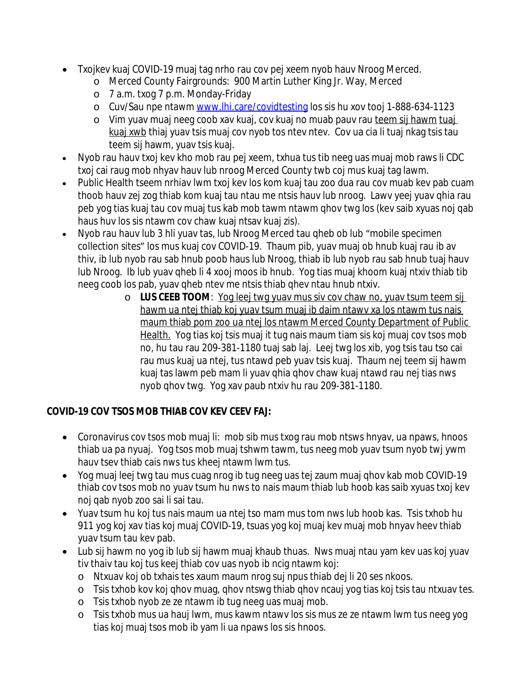- Txojkev kuaj COVID-19 muaj tag nrho rau cov pej xeem nyob hauv Nroog Merced.
	- o Merced County Fairgrounds: 900 Martin Luther King Jr. Way, Merced
	- o 7 a.m. txog 7 p.m. Monday-Friday
	- o Cuv/Sau npe ntawm [www.lhi.care/covidtesting](http://www.lhi.care/covidtesting) los sis hu xov tooj 1-888-634-1123
	- o Vim yuav muaj neeg coob xav kuaj, cov kuaj no muab pauv rau teem sij hawm tuaj kuaj xwb thiaj yuav tsis muaj cov nyob tos ntev ntev. Cov ua cia li tuaj nkag tsis tau teem sij hawm, yuav tsis kuaj.
- Nyob rau hauv txoj kev kho mob rau pej xeem, txhua tus tib neeg uas muaj mob raws li CDC txoj cai raug mob nhyav hauv lub nroog Merced County twb coj mus kuaj tag lawm.
- Public Health tseem nrhiav lwm txoj kev los kom kuaj tau zoo dua rau cov muab kev pab cuam thoob hauv zej zog thiab kom kuaj tau ntau me ntsis hauv lub nroog. Lawv yeej yuav qhia rau peb yog tias kuaj tau cov muaj tus kab mob tawm ntawm qhov twg los (kev saib xyuas noj qab haus huv los sis ntawm cov chaw kuaj ntsav kuaj zis).
- Nyob rau hauv lub 3 hli yuav tas, lub Nroog Merced tau gheb ob lub "mobile specimen" collection sites" los mus kuaj cov COVID-19. Thaum pib, yuav muaj ob hnub kuaj rau ib av thiv, ib lub nyob rau sab hnub poob haus lub Nroog, thiab ib lub nyob rau sab hnub tuaj hauv lub Nroog. Ib lub yuav qheb li 4 xooj moos ib hnub. Yog tias muaj khoom kuaj ntxiv thiab tib neeg coob los pab, yuav qheb ntev me ntsis thiab qhev ntau hnub ntxiv.
	- o **LUS CEEB TOOM**: Yog leej twg yuav mus siv cov chaw no, yuav tsum teem sij hawm ua ntej thiab koj yuav tsum muaj ib daim ntawv xa los ntawm tus nais maum thiab pom zoo ua ntej los ntawm Merced County Department of Public Health. Yog tias koj tsis muaj it tug nais maum tiam sis koj muaj cov tsos mob no, hu tau rau 209-381-1180 tuaj sab laj. Leej twg los xib, yog tsis tau tso cai rau mus kuaj ua ntej, tus ntawd peb yuav tsis kuaj. Thaum nej teem sij hawm kuaj tas lawm peb mam li yuav qhia qhov chaw kuaj ntawd rau nej tias nws nyob qhov twg. Yog xav paub ntxiv hu rau 209-381-1180.

# **COVID-19 COV TSOS MOB THIAB COV KEV CEEV FAJ:**

- Coronavirus cov tsos mob muaj li: mob sib mus txog rau mob ntsws hnyav, ua npaws, hnoos thiab ua pa nyuaj. Yog tsos mob muaj tshwm tawm, tus neeg mob yuav tsum nyob twj ywm hauv tsev thiab cais nws tus kheej ntawm lwm tus.
- Yog muaj leej twg tau mus cuag nrog ib tug neeg uas tej zaum muaj qhov kab mob COVID-19 thiab cov tsos mob no yuav tsum hu nws to nais maum thiab lub hoob kas saib xyuas txoj kev noj qab nyob zoo sai li sai tau.
- Yuav tsum hu koj tus nais maum ua ntej tso mam mus tom nws lub hoob kas. Tsis txhob hu 911 yog koj xav tias koj muaj COVID-19, tsuas yog koj muaj kev muaj mob hnyav heev thiab yuav tsum tau kev pab.
- Lub sij hawm no yog ib lub sij hawm muaj khaub thuas. Nws muaj ntau yam kev uas koj yuav tiv thaiv tau koj tus keej thiab cov uas nyob ib ncig ntawm koj:
	- o Ntxuav koj ob txhais tes xaum maum nrog suj npus thiab dej li 20 ses nkoos.
	- o Tsis txhob kov koj qhov muag, qhov ntswg thiab qhov ncauj yog tias koj tsis tau ntxuav tes.
	- o Tsis txhob nyob ze ze ntawm ib tug neeg uas muaj mob.
	- o Tsis txhob mus ua hauj lwm, mus kawm ntawv los sis mus ze ze ntawm lwm tus neeg yog tias koj muaj tsos mob ib yam li ua npaws los sis hnoos.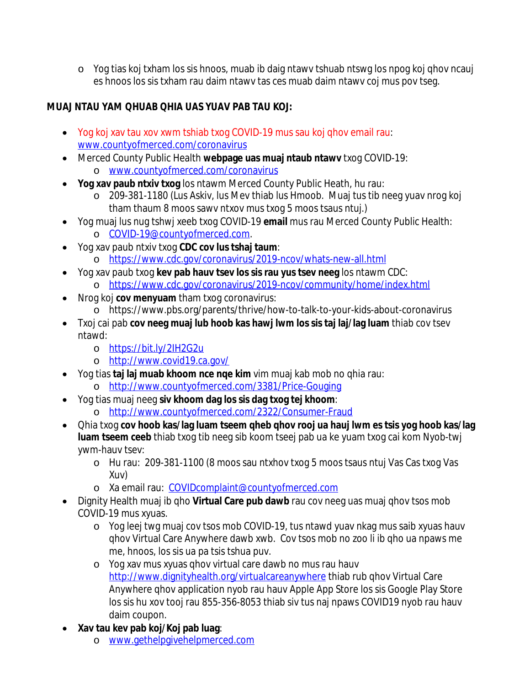o Yog tias koj txham los sis hnoos, muab ib daig ntawv tshuab ntswg los npog koj qhov ncauj es hnoos los sis txham rau daim ntawv tas ces muab daim ntawv coj mus pov tseg.

# **MUAJ NTAU YAM QHUAB QHIA UAS YUAV PAB TAU KOJ:**

- Yog koj xav tau xov xwm tshiab txog COVID-19 mus sau koj qhov email rau: [www.countyofmerced.com/coronavirus](http://www.countyofmerced.com/coronavirus)
- Merced County Public Health **webpage uas muaj ntaub ntawv** txog COVID-19: o [www.countyofmerced.com/coronavirus](http://www.countyofmerced.com/coronavirus)
- **Yog xav paub ntxiv txog** los ntawm Merced County Public Heath, hu rau:
	- o 209-381-1180 (Lus Askiv, lus Mev thiab lus Hmoob. Muaj tus tib neeg yuav nrog koj tham thaum 8 moos sawv ntxov mus txog 5 moos tsaus ntuj.)
- Yog muaj lus nug tshwj xeeb txog COVID-19 **email** mus rau Merced County Public Health: o [COVID-19@countyofmerced.com.](mailto:COVID-19@countyofmerced.com)
- Yog xav paub ntxiv txog **CDC cov lus tshaj taum**:
	- o <https://www.cdc.gov/coronavirus/2019-ncov/whats-new-all.html>
- Yog xav paub txog **kev pab hauv tsev los sis rau yus tsev neeg** los ntawm CDC: o <https://www.cdc.gov/coronavirus/2019-ncov/community/home/index.html>
- Nrog koj **cov menyuam** tham txog coronavirus:
	- o https://www.pbs.org/parents/thrive/how-to-talk-to-your-kids-about-coronavirus
- Txoj cai pab **cov neeg muaj lub hoob kas hawj lwm los sis taj laj/lag luam** thiab cov tsev ntawd:
	- o <https://bit.ly/2IH2G2u>
	- o <http://www.covid19.ca.gov/>
- Yog tias **taj laj muab khoom nce nqe kim** vim muaj kab mob no qhia rau:
	- o <http://www.countyofmerced.com/3381/Price-Gouging>
- Yog tias muaj neeg **siv khoom dag los sis dag txog tej khoom**: o <http://www.countyofmerced.com/2322/Consumer-Fraud>
- Qhia txog **cov hoob kas/lag luam tseem qheb qhov rooj ua hauj lwm es tsis yog hoob kas/lag**
	- **luam tseem ceeb** thiab txog tib neeg sib koom tseej pab ua ke yuam txog cai kom Nyob-twj ywm-hauv tsev:
		- o Hu rau: 209-381-1100 (8 moos sau ntxhov txog 5 moos tsaus ntuj Vas Cas txog Vas Xuv)
		- o Xa email rau: [COVIDcomplaint@countyofmerced.com](mailto:COVIDcomplaint@countyofmerced.com)
- Dignity Health muaj ib qho **Virtual Care pub dawb** rau cov neeg uas muaj qhov tsos mob COVID-19 mus xyuas.
	- o Yog leej twg muaj cov tsos mob COVID-19, tus ntawd yuav nkag mus saib xyuas hauv qhov Virtual Care Anywhere dawb xwb. Cov tsos mob no zoo li ib qho ua npaws me me, hnoos, los sis ua pa tsis tshua puv.
	- o Yog xav mus xyuas qhov virtual care dawb no mus rau hauv <http://www.dignityhealth.org/virtualcareanywhere>thiab rub qhov Virtual Care Anywhere qhov application nyob rau hauv Apple App Store los sis Google Play Store los sis hu xov tooj rau 855-356-8053 thiab siv tus naj npaws COVID19 nyob rau hauv daim coupon.
- **Xav tau kev pab koj/Koj pab luag**:
	- o [www.gethelpgivehelpmerced.com](http://www.gethelpgivehelpmerced.com)